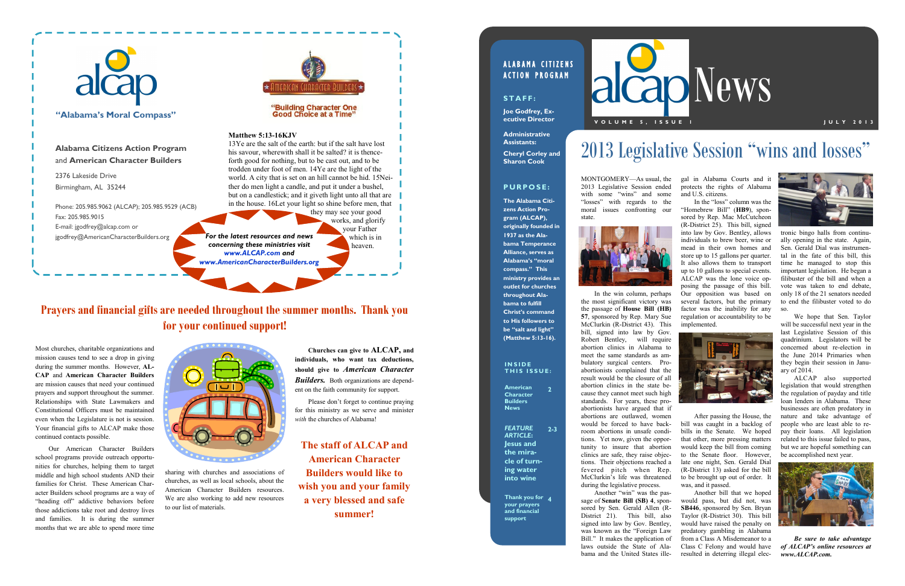sharing with churches and associations of churches, as well as local schools, about the American Character Builders resources. We are also working to add new resources to our list of materials.

Most churches, charitable organizations and mission causes tend to see a drop in giving during the summer months. However, **AL-CAP** and **American Character Builders** are mission causes that need your continued prayers and support throughout the summer. Relationships with State Lawmakers and Constitutional Officers must be maintained even when the Legislature is not is session. Your financial gifts to ALCAP make those continued contacts possible.

Our American Character Builders school programs provide outreach opportunities for churches, helping them to target middle and high school students AND their families for Christ. These American Character Builders school programs are a way of "heading off" addictive behaviors before those addictions take root and destroy lives and families. It is during the summer months that we are able to spend more time



**Churches can give to ALCAP, and individuals, who want tax deductions, should give to** *American Character Builders.* Both organizations are dependent on the faith community for support.

Please don't forget to continue praying for this ministry as we serve and minister *with* the churches of Alabama!

**The staff of ALCAP and American Character Builders would like to wish you and your family a very blessed and safe summer!**

## ALABAMA CITIZENS **ACTION PROGRAM**

# **Prayers and financial gifts are needed throughout the summer months. Thank you for your continued support!**



tronic bingo halls from continually opening in the state. Again, Sen. Gerald Dial was instrumental in the fate of this bill, this time he managed to stop this important legislation. He began a filibuster of the bill and when a vote was taken to end debate, only 18 of the 21 senators needed to end the filibuster voted to do so.

We hope that Sen. Taylor will be successful next year in the last Legislative Session of this quadrinium. Legislators will be concerned about re-election in the June 2014 Primaries when they begin their session in January of 2014.

### **I N S I D E THIS ISSUE:**

ALCAP also supported legislation that would strengthen the regulation of payday and title loan lenders in Alabama. These businesses are often predatory in nature and take advantage of people who are least able to repay their loans. All legislation related to this issue failed to pass, but we are hopeful something can be accomplished next year.



*Be sure to take advantage of ALCAP's online resources at www.ALCAP.com.*

MONTGOMERY—As usual, the 2013 Legislative Session ended with some "wins" and some "losses" with regards to the moral issues confronting our state.



In the win column, perhaps the most significant victory was the passage of **House Bill (HB) 57**, sponsored by Rep. Mary Sue McClurkin (R-District 43). This bill, signed into law by Gov. Robert Bentley, will require abortion clinics in Alabama to meet the same standards as ambulatory surgical centers. Proabortionists complained that the result would be the closure of all abortion clinics in the state because they cannot meet such high standards. For years, these proabortionists have argued that if abortions are outlawed, women would be forced to have backroom abortions in unsafe conditions. Yet now, given the opportunity to insure that abortion clinics are safe, they raise objections. Their objections reached a fevered pitch when Rep. McClurkin's life was threatened during the legislative process.

Another "win" was the passage of **Senate Bill (SB) 4**, sponsored by Sen. Gerald Allen (R-District 21). This bill, also signed into law by Gov. Bentley, was known as the "Foreign Law Bill." It makes the application of laws outside the State of Alabama and the United States ille-

gal in Alabama Courts and it protects the rights of Alabama and U.S. citizens.

In the "loss" column was the "Homebrew Bill" (**HB9**), sponsored by Rep. Mac McCutcheon (R-District 25). This bill, signed into law by Gov. Bentley, allows individuals to brew beer, wine or mead in their own homes and store up to 15 gallons per quarter. It also allows them to transport up to 10 gallons to special events. ALCAP was the lone voice opposing the passage of this bill. Our opposition was based on several factors, but the primary factor was the inability for any regulation or accountability to be implemented.



After passing the House, the bill was caught in a backlog of bills in the Senate. We hoped that other, more pressing matters would keep the bill from coming to the Senate floor. However, late one night, Sen. Gerald Dial (R-District 13) asked for the bill to be brought up out of order. It was, and it passed.

Another bill that we hoped would pass, but did not, was **SB446**, sponsored by Sen. Bryan Taylor (R-District 30). This bill would have raised the penalty on predatory gambling in Alabama from a Class A Misdemeanor to a Class C Felony and would have resulted in deterring illegal elec-



# 2013 Legislative Session "wins and losses"



**American Character Builders News 2**

*FEATURE ARTICLE***: Jesus and the miracle of turning water into wine 2-3**

**Thank you for 4 your prayers and financial support**



## **S T A F F :**

**Joe Godfrey, Executive Director**

**Administrative Assistants: Cheryl Corley and Sharon Cook**

## **P U R P O S E :**

**The Alabama Citizens Action Program (ALCAP), originally founded in 1937 as the Alabama Temperance Alliance, serves as Alabama's "moral compass." This ministry provides an outlet for churches throughout Alabama to fulfill Christ's command to His followers to be "salt and light" (Matthew 5:13-16).**